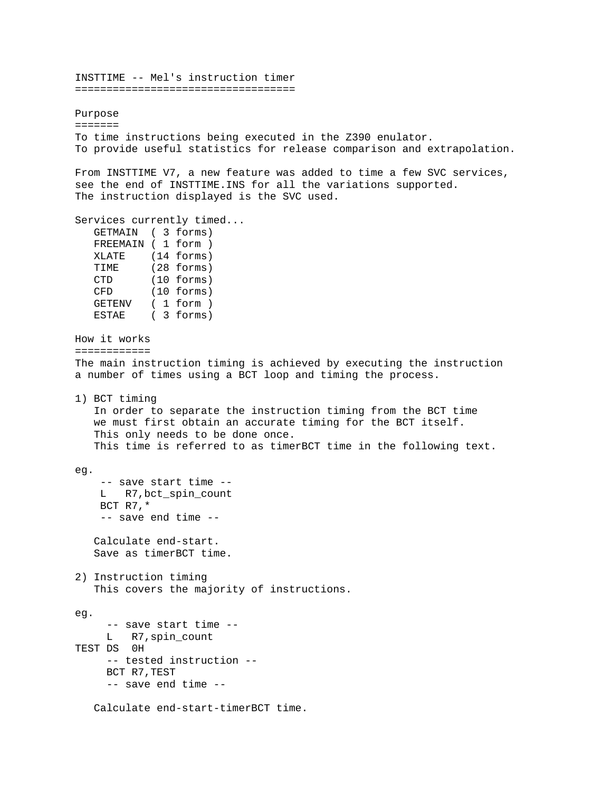INSTTIME -- Mel's instruction timer =================================== Purpose ======= To time instructions being executed in the Z390 enulator. To provide useful statistics for release comparison and extrapolation. From INSTTIME V7, a new feature was added to time a few SVC services, see the end of INSTTIME.INS for all the variations supported. The instruction displayed is the SVC used. Services currently timed... GETMAIN ( 3 forms) FREEMAIN ( 1 form ) XLATE (14 forms) TIME (28 forms) CTD (10 forms) CFD (10 forms) GETENV ( 1 form ) ESTAE ( 3 forms) How it works ============ The main instruction timing is achieved by executing the instruction a number of times using a BCT loop and timing the process. 1) BCT timing In order to separate the instruction timing from the BCT time we must first obtain an accurate timing for the BCT itself. This only needs to be done once. This time is referred to as timerBCT time in the following text. eg. -- save start time -- L R7,bct\_spin\_count BCT R7,\* -- save end time -- Calculate end-start. Save as timerBCT time. 2) Instruction timing This covers the majority of instructions. eg. -- save start time -- L R7,spin\_count TEST DS 0H -- tested instruction -- BCT R7,TEST -- save end time -- Calculate end-start-timerBCT time.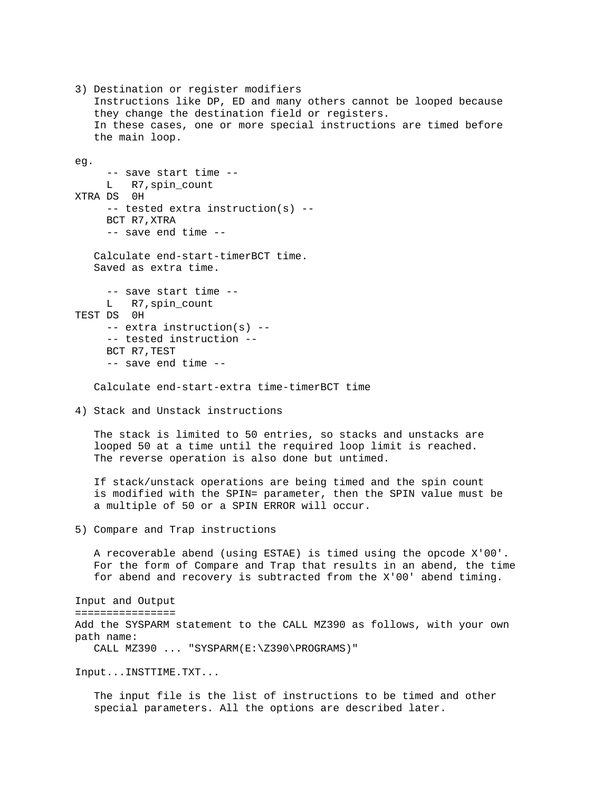3) Destination or register modifiers Instructions like DP, ED and many others cannot be looped because they change the destination field or registers. In these cases, one or more special instructions are timed before the main loop. eg. -- save start time -- L R7,spin\_count XTRA DS 0H -- tested extra instruction(s) -- BCT R7,XTRA -- save end time -- Calculate end-start-timerBCT time. Saved as extra time. -- save start time -- L R7, spin\_count TEST DS 0H -- extra instruction(s) -- -- tested instruction -- BCT R7,TEST -- save end time -- Calculate end-start-extra time-timerBCT time 4) Stack and Unstack instructions The stack is limited to 50 entries, so stacks and unstacks are looped 50 at a time until the required loop limit is reached. The reverse operation is also done but untimed. If stack/unstack operations are being timed and the spin count is modified with the SPIN= parameter, then the SPIN value must be a multiple of 50 or a SPIN ERROR will occur. 5) Compare and Trap instructions A recoverable abend (using ESTAE) is timed using the opcode X'00'. For the form of Compare and Trap that results in an abend, the time for abend and recovery is subtracted from the X'00' abend timing. Input and Output ================ Add the SYSPARM statement to the CALL MZ390 as follows, with your own path name: CALL MZ390 ... "SYSPARM(E:\Z390\PROGRAMS)" Input...INSTTIME.TXT... The input file is the list of instructions to be timed and other special parameters. All the options are described later.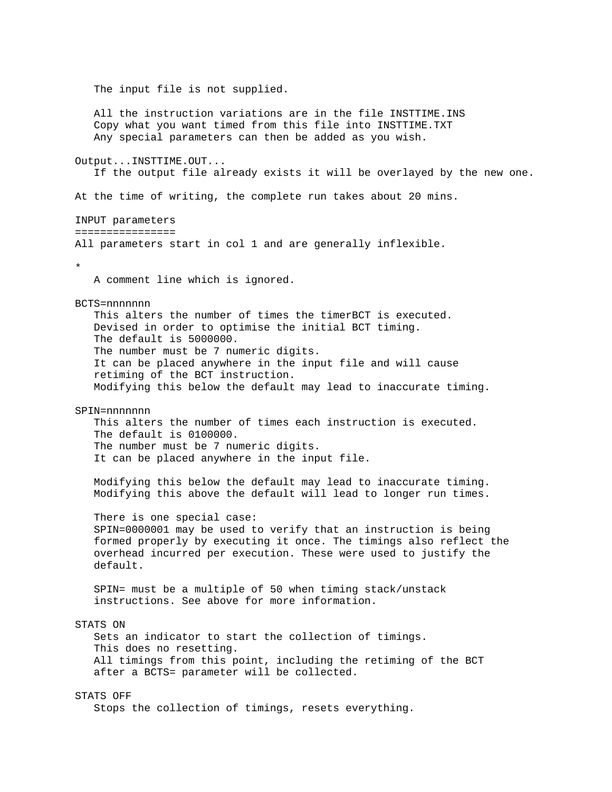The input file is not supplied. All the instruction variations are in the file INSTTIME.INS Copy what you want timed from this file into INSTTIME.TXT Any special parameters can then be added as you wish. Output...INSTTIME.OUT... If the output file already exists it will be overlayed by the new one. At the time of writing, the complete run takes about 20 mins. INPUT parameters ================ All parameters start in col 1 and are generally inflexible. \* A comment line which is ignored. BCTS=nnnnnnn This alters the number of times the timerBCT is executed. Devised in order to optimise the initial BCT timing. The default is 5000000. The number must be 7 numeric digits. It can be placed anywhere in the input file and will cause retiming of the BCT instruction. Modifying this below the default may lead to inaccurate timing. SPIN=nnnnnnn This alters the number of times each instruction is executed. The default is 0100000. The number must be 7 numeric digits. It can be placed anywhere in the input file. Modifying this below the default may lead to inaccurate timing. Modifying this above the default will lead to longer run times. There is one special case: SPIN=0000001 may be used to verify that an instruction is being formed properly by executing it once. The timings also reflect the overhead incurred per execution. These were used to justify the default. SPIN= must be a multiple of 50 when timing stack/unstack instructions. See above for more information. STATS ON Sets an indicator to start the collection of timings. This does no resetting. All timings from this point, including the retiming of the BCT after a BCTS= parameter will be collected. STATS OFF Stops the collection of timings, resets everything.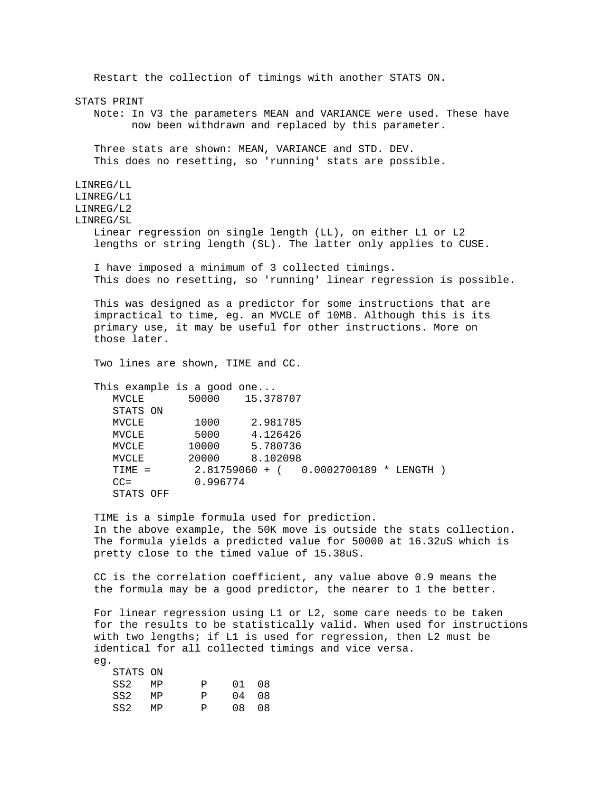Restart the collection of timings with another STATS ON. STATS PRINT Note: In V3 the parameters MEAN and VARIANCE were used. These have now been withdrawn and replaced by this parameter. Three stats are shown: MEAN, VARIANCE and STD. DEV. This does no resetting, so 'running' stats are possible. LINREG/LL LINREG/L1 LINREG/L2 LINREG/SL Linear regression on single length (LL), on either L1 or L2 lengths or string length (SL). The latter only applies to CUSE. I have imposed a minimum of 3 collected timings. This does no resetting, so 'running' linear regression is possible. This was designed as a predictor for some instructions that are impractical to time, eg. an MVCLE of 10MB. Although this is its primary use, it may be useful for other instructions. More on those later. Two lines are shown, TIME and CC. This example is a good one... MVCLE 50000 15.378707 STATS ON MVCLE 1000 2.981785 MVCLE 5000 4.126426 MVCLE 10000 5.780736 MVCLE 20000 8.102098 TIME = 2.81759060 + ( 0.0002700189 \* LENGTH ) CC= 0.996774 STATS OFF TIME is a simple formula used for prediction. In the above example, the 50K move is outside the stats collection. The formula yields a predicted value for 50000 at 16.32uS which is pretty close to the timed value of 15.38uS. CC is the correlation coefficient, any value above 0.9 means the the formula may be a good predictor, the nearer to 1 the better. For linear regression using L1 or L2, some care needs to be taken for the results to be statistically valid. When used for instructions with two lengths; if L1 is used for regression, then L2 must be identical for all collected timings and vice versa. eg.

| STATS ON |    |    |       |      |
|----------|----|----|-------|------|
| SS2      | MP | P. | 01    | - 08 |
| SS2      | MP | D  | 04    | 08   |
| SS2      | MP | D  | 0.8 O | - 08 |

 $\frac{1}{2}$  $\frac{1}{2}$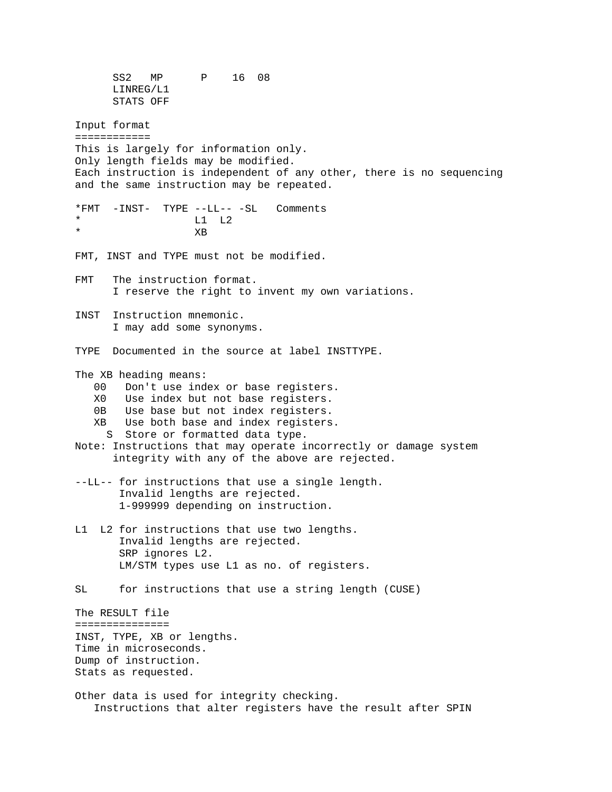SS2 MP P 16 08 LINREG/L1 STATS OFF Input format ============ This is largely for information only. Only length fields may be modified. Each instruction is independent of any other, there is no sequencing and the same instruction may be repeated. \*FMT -INST- TYPE --LL-- -SL Comments  $L1$  L2 \* XB FMT, INST and TYPE must not be modified. FMT The instruction format. I reserve the right to invent my own variations. INST Instruction mnemonic. I may add some synonyms. TYPE Documented in the source at label INSTTYPE. The XB heading means: 00 Don't use index or base registers. X0 Use index but not base registers. 0B Use base but not index registers. XB Use both base and index registers. S Store or formatted data type. Note: Instructions that may operate incorrectly or damage system integrity with any of the above are rejected. --LL-- for instructions that use a single length. Invalid lengths are rejected. 1-999999 depending on instruction. L1 L2 for instructions that use two lengths. Invalid lengths are rejected. SRP ignores L2. LM/STM types use L1 as no. of registers. SL for instructions that use a string length (CUSE) The RESULT file =============== INST, TYPE, XB or lengths. Time in microseconds. Dump of instruction. Stats as requested. Other data is used for integrity checking. Instructions that alter registers have the result after SPIN